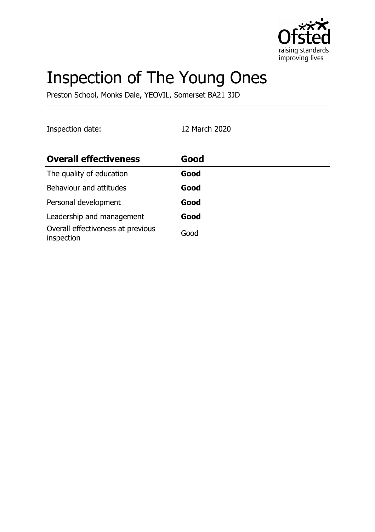

# Inspection of The Young Ones

Preston School, Monks Dale, YEOVIL, Somerset BA21 3JD

Inspection date: 12 March 2020

| <b>Overall effectiveness</b>                    | Good |
|-------------------------------------------------|------|
| The quality of education                        | Good |
| Behaviour and attitudes                         | Good |
| Personal development                            | Good |
| Leadership and management                       | Good |
| Overall effectiveness at previous<br>inspection | Good |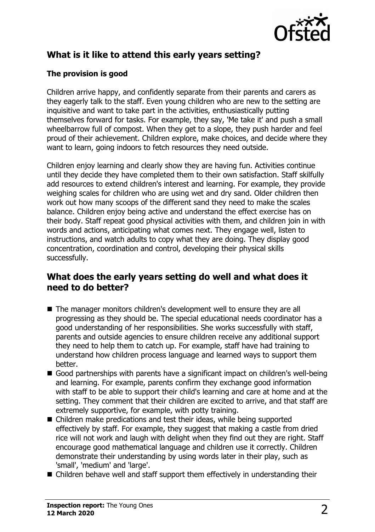

## **What is it like to attend this early years setting?**

### **The provision is good**

Children arrive happy, and confidently separate from their parents and carers as they eagerly talk to the staff. Even young children who are new to the setting are inquisitive and want to take part in the activities, enthusiastically putting themselves forward for tasks. For example, they say, 'Me take it' and push a small wheelbarrow full of compost. When they get to a slope, they push harder and feel proud of their achievement. Children explore, make choices, and decide where they want to learn, going indoors to fetch resources they need outside.

Children enjoy learning and clearly show they are having fun. Activities continue until they decide they have completed them to their own satisfaction. Staff skilfully add resources to extend children's interest and learning. For example, they provide weighing scales for children who are using wet and dry sand. Older children then work out how many scoops of the different sand they need to make the scales balance. Children enjoy being active and understand the effect exercise has on their body. Staff repeat good physical activities with them, and children join in with words and actions, anticipating what comes next. They engage well, listen to instructions, and watch adults to copy what they are doing. They display good concentration, coordination and control, developing their physical skills successfully.

## **What does the early years setting do well and what does it need to do better?**

- $\blacksquare$  The manager monitors children's development well to ensure they are all progressing as they should be. The special educational needs coordinator has a good understanding of her responsibilities. She works successfully with staff, parents and outside agencies to ensure children receive any additional support they need to help them to catch up. For example, staff have had training to understand how children process language and learned ways to support them better.
- Good partnerships with parents have a significant impact on children's well-being and learning. For example, parents confirm they exchange good information with staff to be able to support their child's learning and care at home and at the setting. They comment that their children are excited to arrive, and that staff are extremely supportive, for example, with potty training.
- Children make predications and test their ideas, while being supported effectively by staff. For example, they suggest that making a castle from dried rice will not work and laugh with delight when they find out they are right. Staff encourage good mathematical language and children use it correctly. Children demonstrate their understanding by using words later in their play, such as 'small', 'medium' and 'large'.
- $\blacksquare$  Children behave well and staff support them effectively in understanding their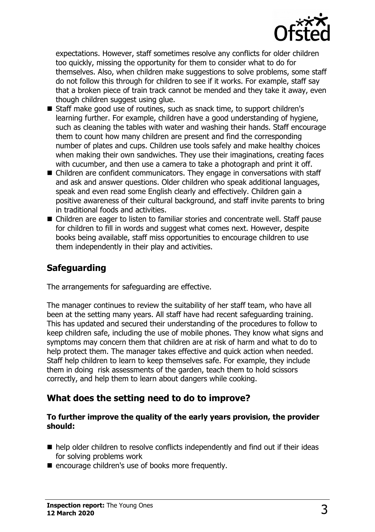

expectations. However, staff sometimes resolve any conflicts for older children too quickly, missing the opportunity for them to consider what to do for themselves. Also, when children make suggestions to solve problems, some staff do not follow this through for children to see if it works. For example, staff say that a broken piece of train track cannot be mended and they take it away, even though children suggest using glue.

- Staff make good use of routines, such as snack time, to support children's learning further. For example, children have a good understanding of hygiene, such as cleaning the tables with water and washing their hands. Staff encourage them to count how many children are present and find the corresponding number of plates and cups. Children use tools safely and make healthy choices when making their own sandwiches. They use their imaginations, creating faces with cucumber, and then use a camera to take a photograph and print it off.
- $\blacksquare$  Children are confident communicators. They engage in conversations with staff and ask and answer questions. Older children who speak additional languages, speak and even read some English clearly and effectively. Children gain a positive awareness of their cultural background, and staff invite parents to bring in traditional foods and activities.
- Children are eager to listen to familiar stories and concentrate well. Staff pause for children to fill in words and suggest what comes next. However, despite books being available, staff miss opportunities to encourage children to use them independently in their play and activities.

## **Safeguarding**

The arrangements for safeguarding are effective.

The manager continues to review the suitability of her staff team, who have all been at the setting many years. All staff have had recent safeguarding training. This has updated and secured their understanding of the procedures to follow to keep children safe, including the use of mobile phones. They know what signs and symptoms may concern them that children are at risk of harm and what to do to help protect them. The manager takes effective and quick action when needed. Staff help children to learn to keep themselves safe. For example, they include them in doing risk assessments of the garden, teach them to hold scissors correctly, and help them to learn about dangers while cooking.

### **What does the setting need to do to improve?**

#### **To further improve the quality of the early years provision, the provider should:**

- $\blacksquare$  help older children to resolve conflicts independently and find out if their ideas for solving problems work
- encourage children's use of books more frequently.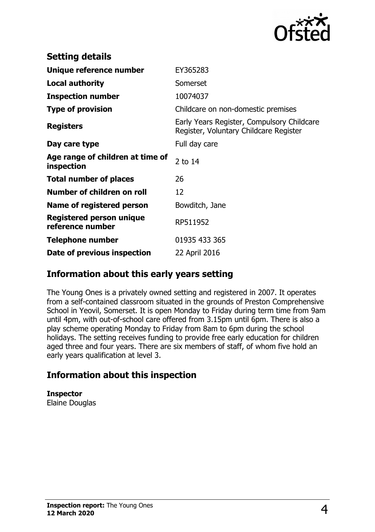

| <b>Setting details</b>                         |                                                                                      |
|------------------------------------------------|--------------------------------------------------------------------------------------|
| Unique reference number                        | EY365283                                                                             |
| <b>Local authority</b>                         | Somerset                                                                             |
| <b>Inspection number</b>                       | 10074037                                                                             |
| <b>Type of provision</b>                       | Childcare on non-domestic premises                                                   |
| <b>Registers</b>                               | Early Years Register, Compulsory Childcare<br>Register, Voluntary Childcare Register |
| Day care type                                  | Full day care                                                                        |
| Age range of children at time of<br>inspection | 2 to 14                                                                              |
| <b>Total number of places</b>                  | 26                                                                                   |
| Number of children on roll                     | 12                                                                                   |
| Name of registered person                      | Bowditch, Jane                                                                       |
| Registered person unique<br>reference number   | RP511952                                                                             |
| <b>Telephone number</b>                        | 01935 433 365                                                                        |
| Date of previous inspection                    | 22 April 2016                                                                        |

## **Information about this early years setting**

The Young Ones is a privately owned setting and registered in 2007. It operates from a self-contained classroom situated in the grounds of Preston Comprehensive School in Yeovil, Somerset. It is open Monday to Friday during term time from 9am until 4pm, with out-of-school care offered from 3.15pm until 6pm. There is also a play scheme operating Monday to Friday from 8am to 6pm during the school holidays. The setting receives funding to provide free early education for children aged three and four years. There are six members of staff, of whom five hold an early years qualification at level 3.

## **Information about this inspection**

**Inspector** Elaine Douglas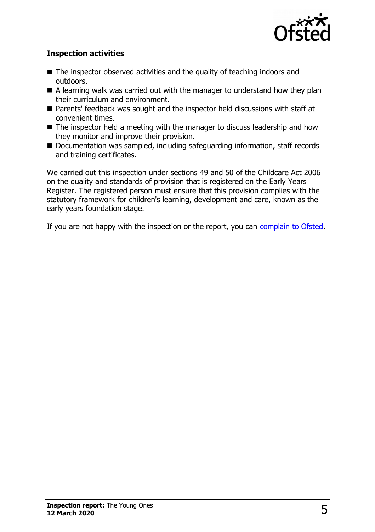

### **Inspection activities**

- $\blacksquare$  The inspector observed activities and the quality of teaching indoors and outdoors.
- $\blacksquare$  A learning walk was carried out with the manager to understand how they plan their curriculum and environment.
- Parents' feedback was sought and the inspector held discussions with staff at convenient times.
- $\blacksquare$  The inspector held a meeting with the manager to discuss leadership and how they monitor and improve their provision.
- Documentation was sampled, including safeguarding information, staff records and training certificates.

We carried out this inspection under sections 49 and 50 of the Childcare Act 2006 on the quality and standards of provision that is registered on the Early Years Register. The registered person must ensure that this provision complies with the statutory framework for children's learning, development and care, known as the early years foundation stage.

If you are not happy with the inspection or the report, you can [complain to Ofsted.](http://www.gov.uk/complain-ofsted-report)